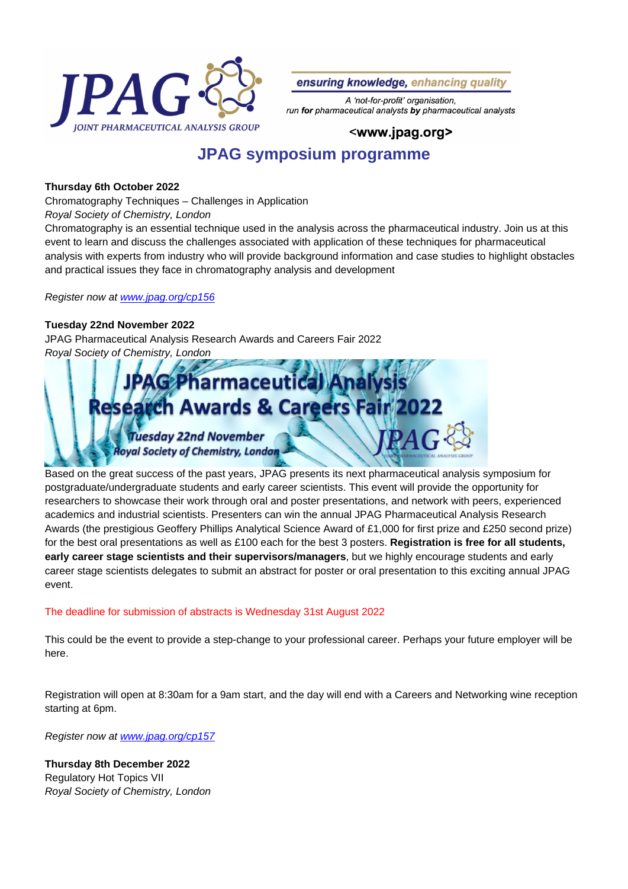

ensuring knowledge, enhancing quality

A 'not-for-profit' organisation, run for pharmaceutical analysts by pharmaceutical analysts

## <www.jpag.org>

# **JPAG symposium programme**

### **Thursday 6th October 2022**

Chromatography Techniques – Challenges in Application

Royal Society of Chemistry, London

Chromatography is an essential technique used in the analysis across the pharmaceutical industry. Join us at this event to learn and discuss the challenges associated with application of these techniques for pharmaceutical analysis with experts from industry who will provide background information and case studies to highlight obstacles and practical issues they face in chromatography analysis and development

#### Register now at [www.jpag.org/cp156](https://www.jpag.org/cp156)

#### **Tuesday 22nd November 2022**

JPAG Pharmaceutical Analysis Research Awards and Careers Fair 2022 Royal Society of Chemistry, London



Based on the great success of the past years, JPAG presents its next pharmaceutical analysis symposium for postgraduate/undergraduate students and early career scientists. This event will provide the opportunity for researchers to showcase their work through oral and poster presentations, and network with peers, experienced academics and industrial scientists. Presenters can win the annual JPAG Pharmaceutical Analysis Research Awards (the prestigious Geoffery Phillips Analytical Science Award of £1,000 for first prize and £250 second prize) for the best oral presentations as well as £100 each for the best 3 posters. **Registration is free for all students, early career stage scientists and their supervisors/managers**, but we highly encourage students and early career stage scientists delegates to submit an abstract for poster or oral presentation to this exciting annual JPAG event.

#### The deadline for submission of abstracts is Wednesday 31st August 2022

This could be the event to provide a step-change to your professional career. Perhaps your future employer will be here.

Registration will open at 8:30am for a 9am start, and the day will end with a Careers and Networking wine reception starting at 6pm.

Register now at [www.jpag.org/cp157](https://www.jpag.org/cp157)

**Thursday 8th December 2022** Regulatory Hot Topics VII Royal Society of Chemistry, London